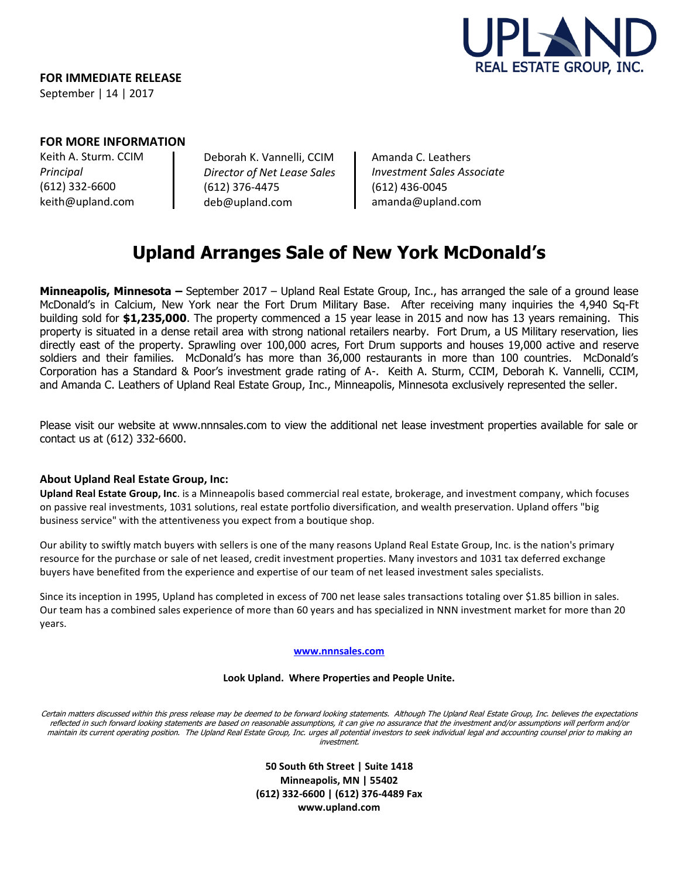

**FOR IMMEDIATE RELEASE**  September | 14 | 2017

## **FOR MORE INFORMATION**

Keith A. Sturm. CCIM *Principal* (612) 332-6600 keith@upland.com

Deborah K. Vannelli, CCIM *Director of Net Lease Sales* (612) 376-4475 deb@upland.com

Amanda C. Leathers *Investment Sales Associate* (612) 436-0045 amanda@upland.com

# **Upland Arranges Sale of New York McDonald's**

**Minneapolis, Minnesota –** September 2017 – Upland Real Estate Group, Inc., has arranged the sale of a ground lease McDonald's in Calcium, New York near the Fort Drum Military Base. After receiving many inquiries the 4,940 Sq-Ft building sold for **\$1,235,000**. The property commenced a 15 year lease in 2015 and now has 13 years remaining. This property is situated in a dense retail area with strong national retailers nearby. Fort Drum, a US Military reservation, lies directly east of the property. Sprawling over 100,000 acres, Fort Drum supports and houses 19,000 active and reserve soldiers and their families. McDonald's has more than 36,000 restaurants in more than 100 countries. McDonald's Corporation has a Standard & Poor's investment grade rating of A-. Keith A. Sturm, CCIM, Deborah K. Vannelli, CCIM, and Amanda C. Leathers of Upland Real Estate Group, Inc., Minneapolis, Minnesota exclusively represented the seller.

Please visit our website at www.nnnsales.com to view the additional net lease investment properties available for sale or contact us at (612) 332-6600.

## **About Upland Real Estate Group, Inc:**

**Upland Real Estate Group, Inc**. is a Minneapolis based commercial real estate, brokerage, and investment company, which focuses on passive real investments, 1031 solutions, real estate portfolio diversification, and wealth preservation. Upland offers "big business service" with the attentiveness you expect from a boutique shop.

Our ability to swiftly match buyers with sellers is one of the many reasons Upland Real Estate Group, Inc. is the nation's primary resource for the purchase or sale of net leased, credit investment properties. Many investors and 1031 tax deferred exchange buyers have benefited from the experience and expertise of our team of net leased investment sales specialists.

Since its inception in 1995, Upland has completed in excess of 700 net lease sales transactions totaling over \$1.85 billion in sales. Our team has a combined sales experience of more than 60 years and has specialized in NNN investment market for more than 20 years.

### **[www.nnnsales.com](http://www.nnnsales.com/)**

### **Look Upland. Where Properties and People Unite.**

Certain matters discussed within this press release may be deemed to be forward looking statements. Although The Upland Real Estate Group, Inc. believes the expectations reflected in such forward looking statements are based on reasonable assumptions, it can give no assurance that the investment and/or assumptions will perform and/or maintain its current operating position. The Upland Real Estate Group, Inc. urges all potential investors to seek individual legal and accounting counsel prior to making an investment.

> **50 South 6th Street | Suite 1418 Minneapolis, MN | 55402 (612) 332-6600 | (612) 376-4489 Fax www.upland.com**